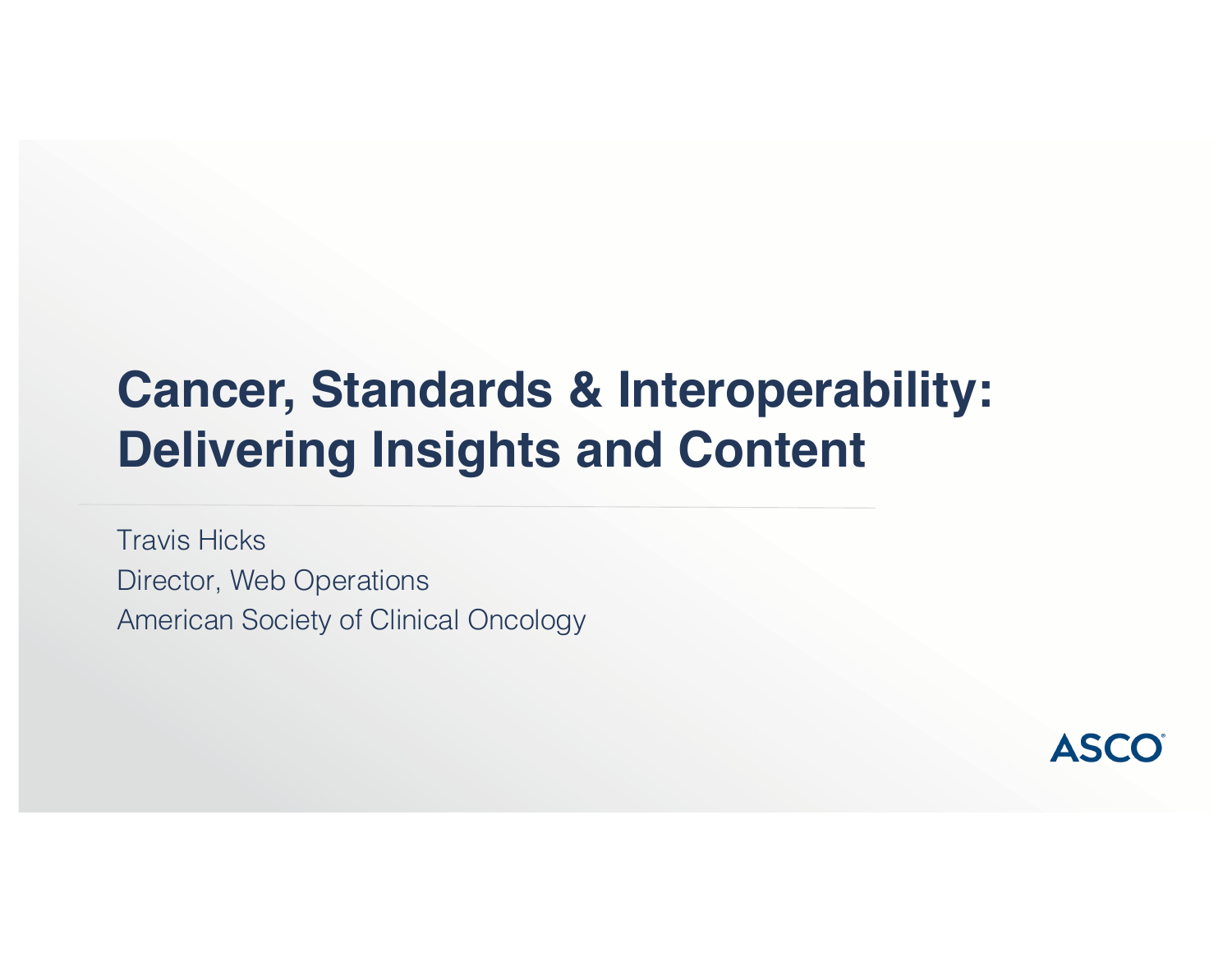# **Cancer, Standards & Interoperability: Delivering Insights and Content**

Travis Hicks Director, Web Operations American Society of Clinical Oncology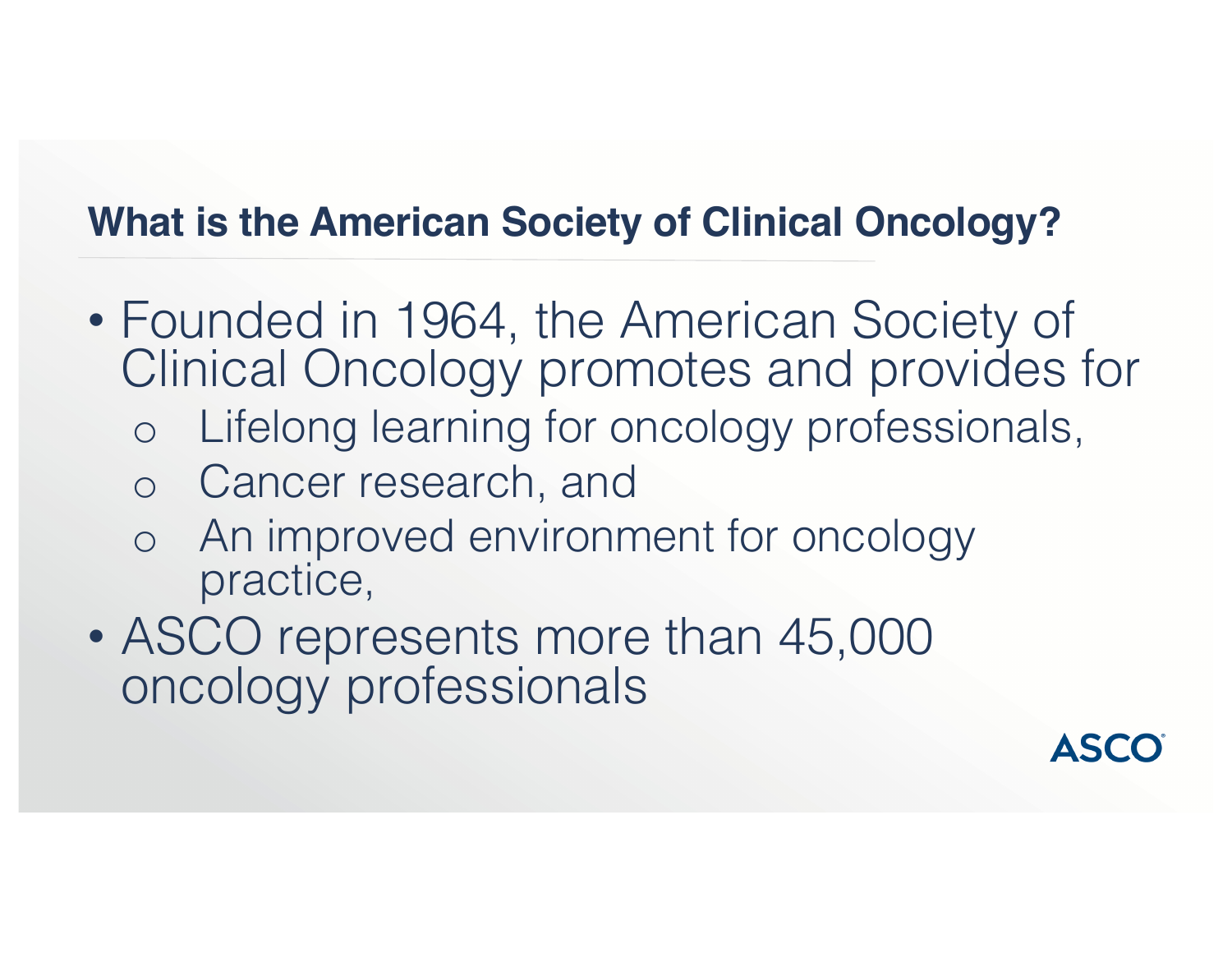## **What is the American Society of Clinical Oncology?**

- Founded in 1964, the American Society of Clinical Oncology promotes and provides for
	- o Lifelong learning for oncology professionals,
	- o Cancer research, and
	- o An improved environment for oncology practice,
- ASCO represents more than 45,000 oncology professionals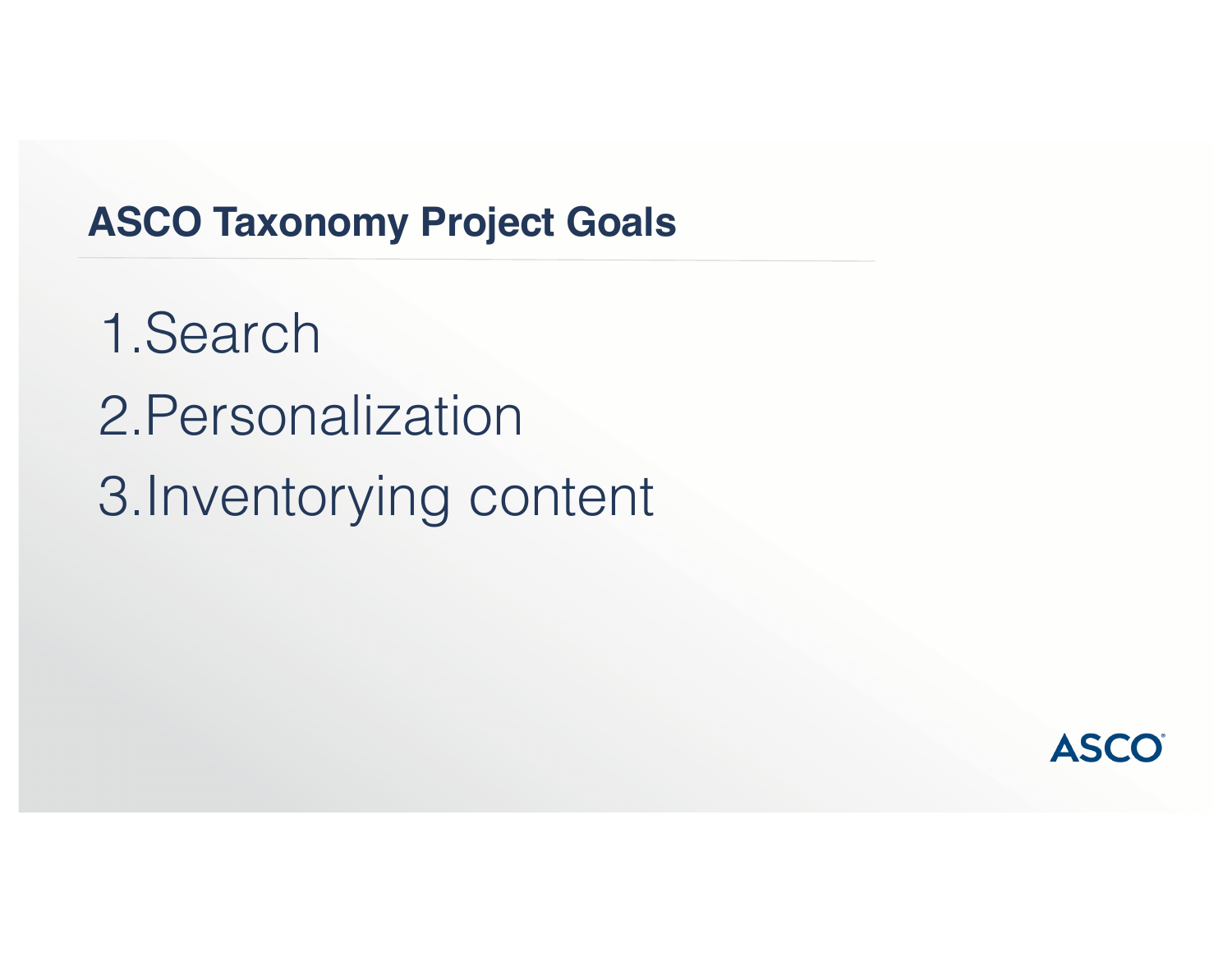#### **ASCO Taxonomy Project Goals**

1.Search 2.Personalization 3.Inventorying content

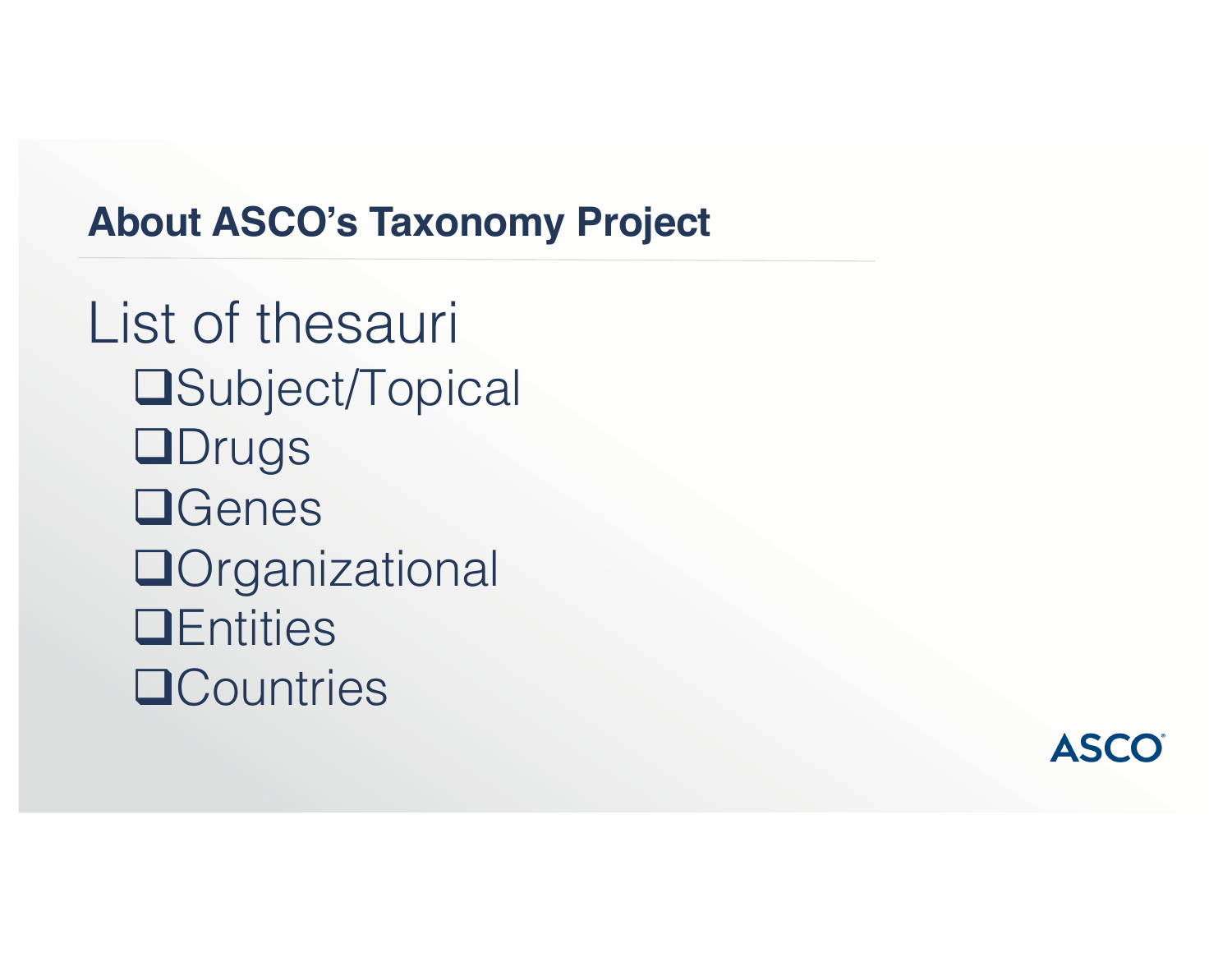### **About ASCO's Taxonomy Project**

List of thesauri **□Subject/Topical ODrugs QGenes O**rganizational **QEntities QCountries** 

**ASCO**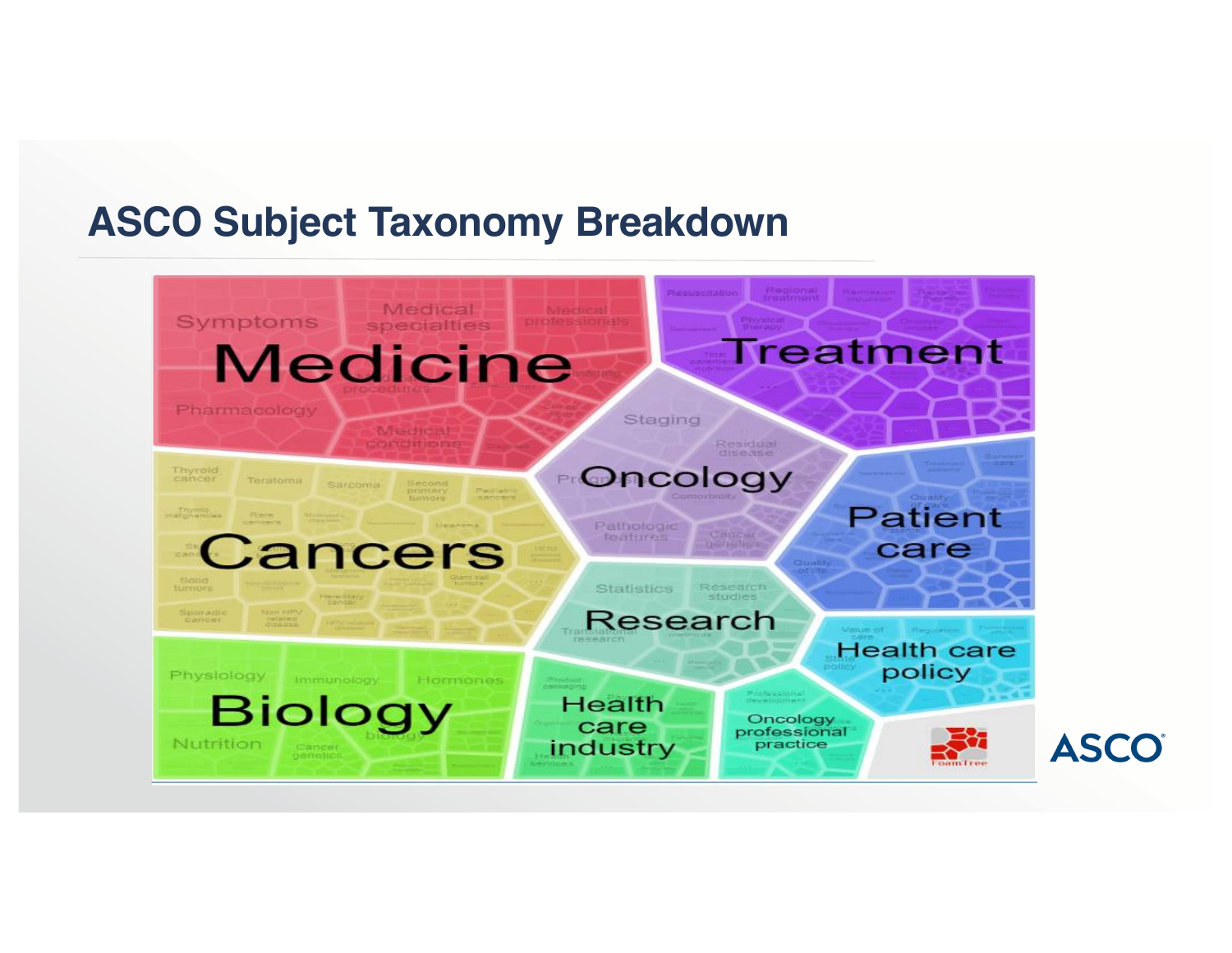#### **ASCO Subject Taxonomy Breakdown**

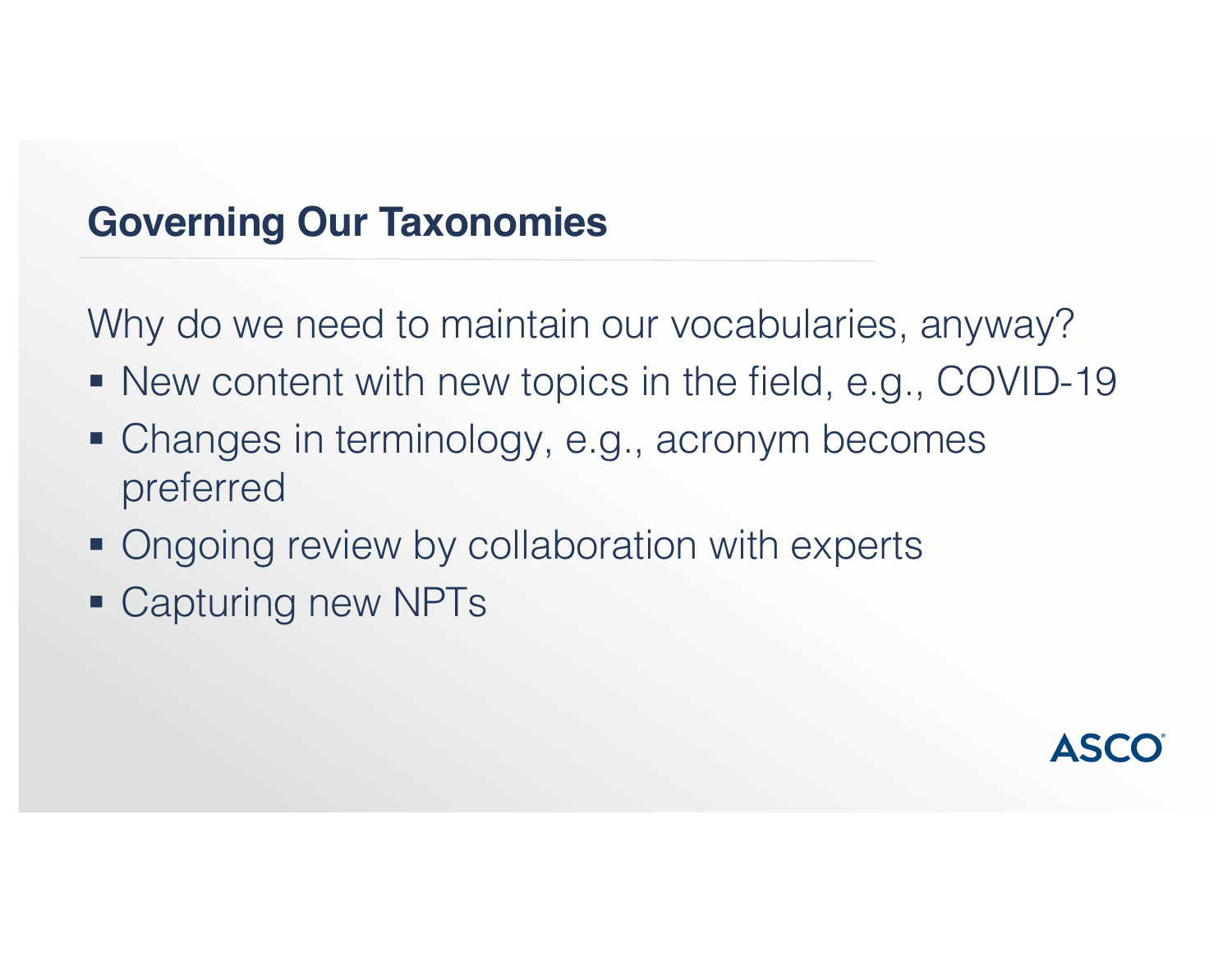#### **Governing Our Taxonomies**

Why do we need to maintain our vocabularies, anyway?

- New content with new topics in the field, e.g., COVID-19
- Changes in terminology, e.g., acronym becomes preferred
- Ongoing review by collaboration with experts
- Capturing new NPTs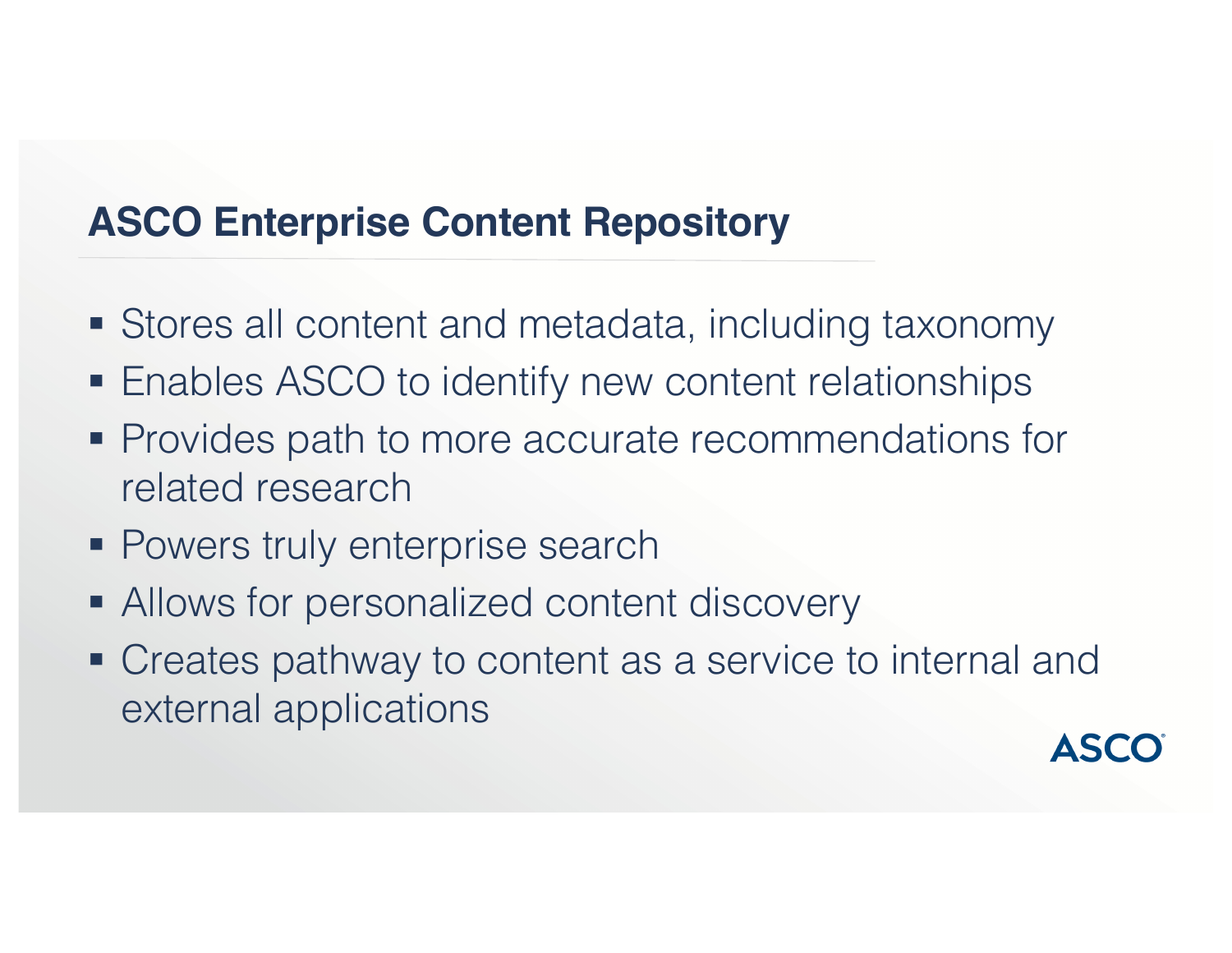## **ASCO Enterprise Content Repository**

- Stores all content and metadata, including taxonomy
- Enables ASCO to identify new content relationships
- Provides path to more accurate recommendations for related research
- **Powers truly enterprise search**
- Allows for personalized content discovery
- Creates pathway to content as a service to internal and external applications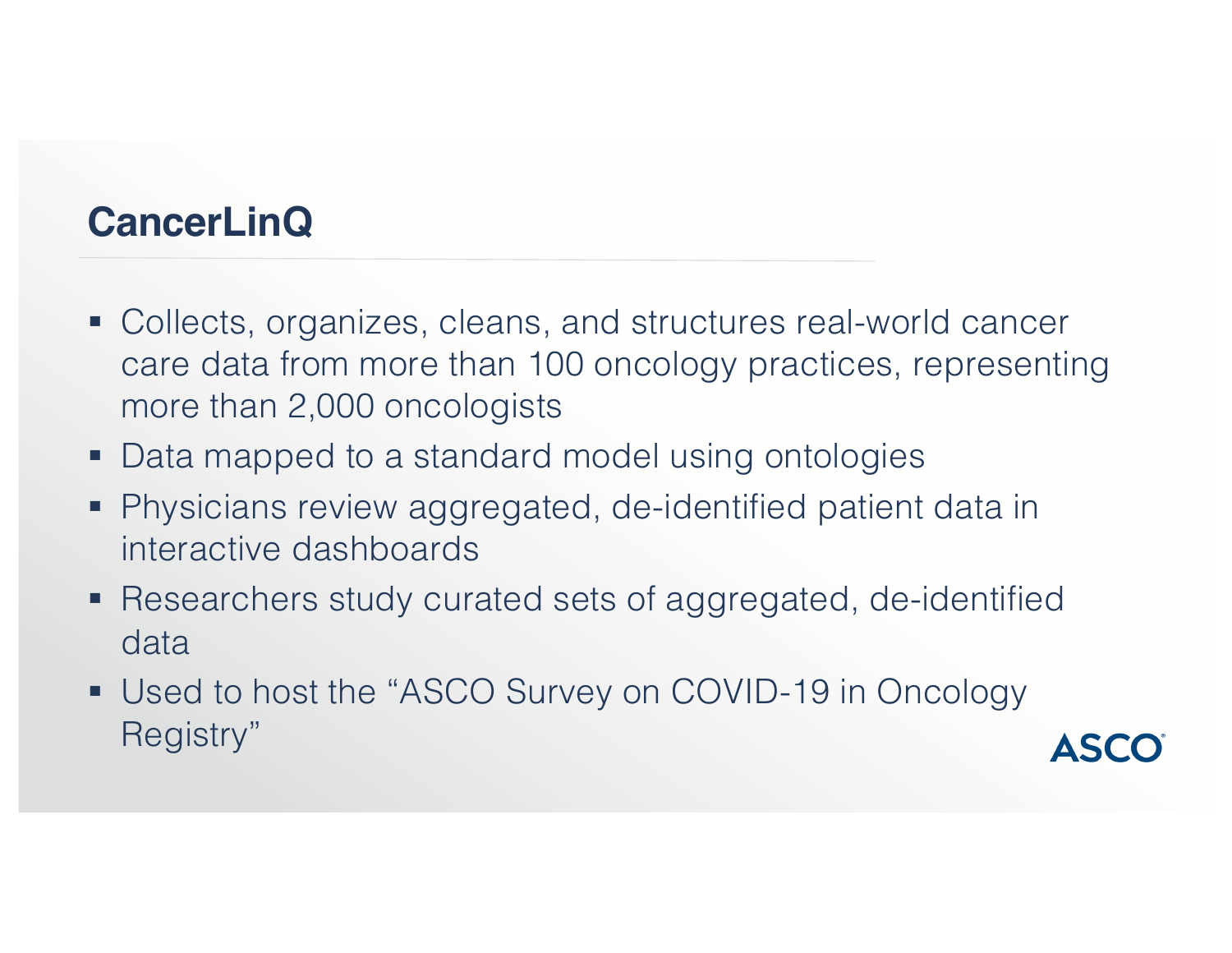#### **CancerLinQ**

- Collects, organizes, cleans, and structures real-world cancer care data from more than 100 oncology practices, representing more than 2,000 oncologists
- Data mapped to a standard model using ontologies
- Physicians review aggregated, de-identified patient data in interactive dashboards
- Researchers study curated sets of aggregated, de-identified data
- Used to host the "ASCO Survey on COVID-19 in Oncology Registry"

**ASCO**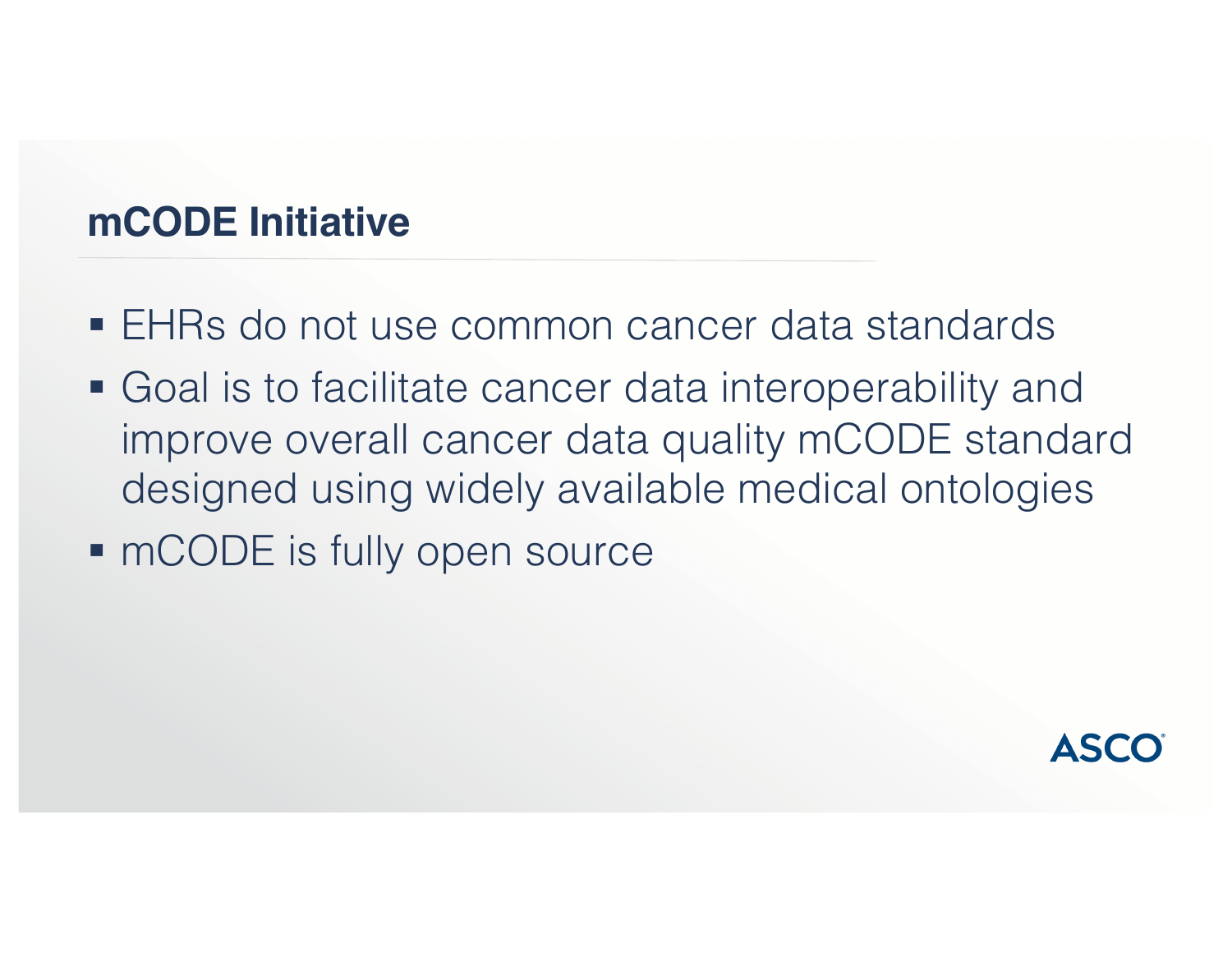## **mCODE Initiative**

- EHRs do not use common cancer data standards
- Goal is to facilitate cancer data interoperability and improve overall cancer data quality mCODE standard designed using widely available medical ontologies
- mCODE is fully open source

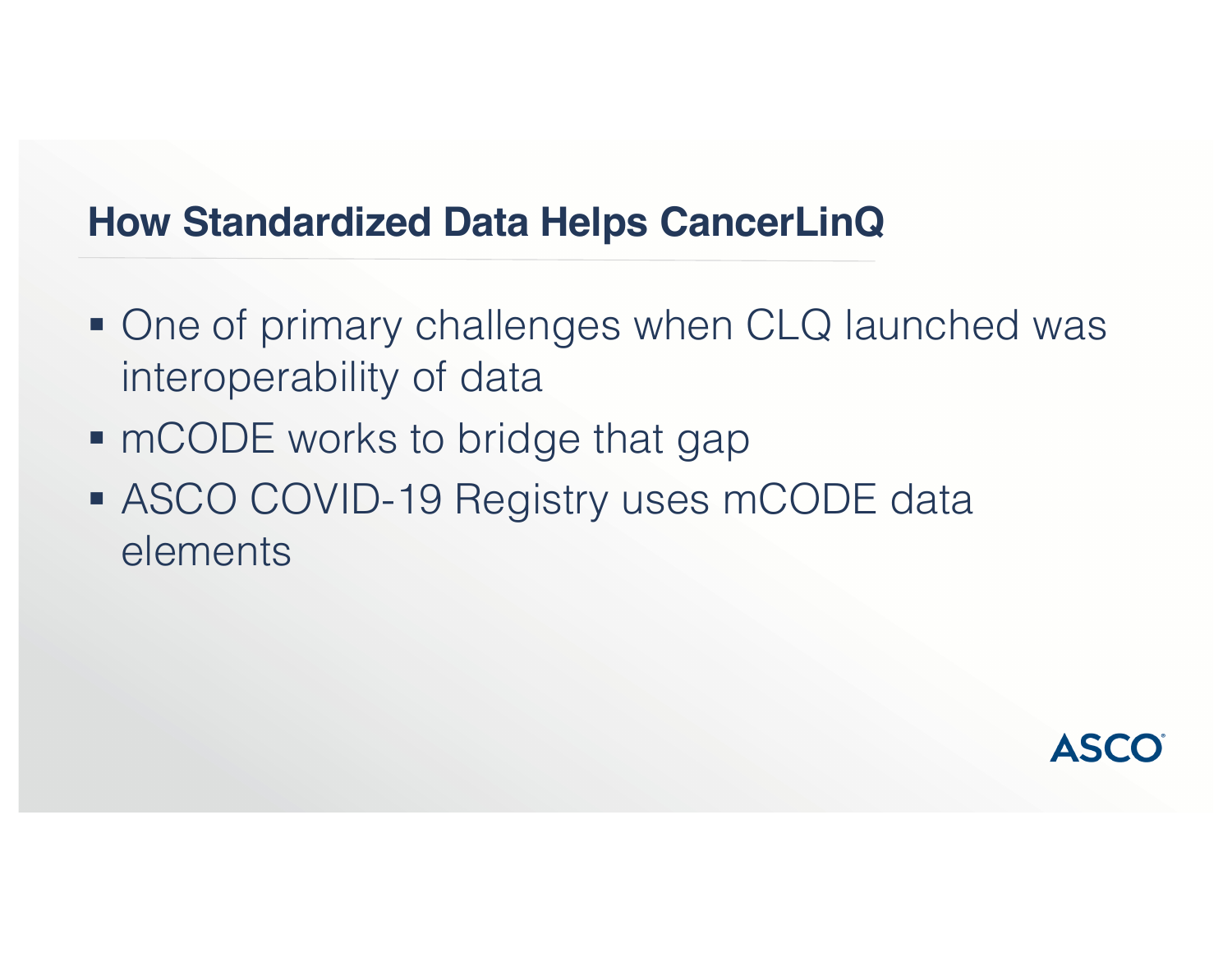#### **How Standardized Data Helps CancerLinQ**

- One of primary challenges when CLQ launched was interoperability of data
- mCODE works to bridge that gap
- ASCO COVID-19 Registry uses mCODE data elements